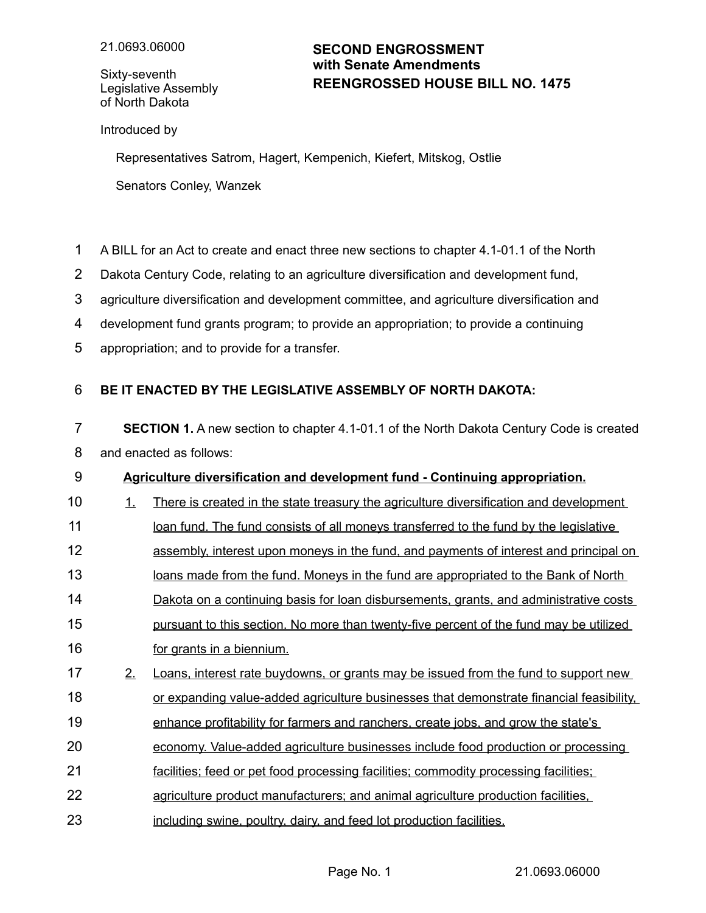Sixty-seventh Legislative Assembly of North Dakota

## **REENGROSSED HOUSE BILL NO. 1475 SECOND ENGROSSMENT with Senate Amendments**

Introduced by

Representatives Satrom, Hagert, Kempenich, Kiefert, Mitskog, Ostlie Senators Conley, Wanzek

- A BILL for an Act to create and enact three new sections to chapter 4.1-01.1 of the North 1
- Dakota Century Code, relating to an agriculture diversification and development fund, 2
- agriculture diversification and development committee, and agriculture diversification and 3
- development fund grants program; to provide an appropriation; to provide a continuing 4
- appropriation; and to provide for a transfer. 5

## **BE IT ENACTED BY THE LEGISLATIVE ASSEMBLY OF NORTH DAKOTA:** 6

- **SECTION 1.** A new section to chapter 4.1-01.1 of the North Dakota Century Code is created and enacted as follows: 7 8
- **Agriculture diversification and development fund Continuing appropriation.** 9
- 1. There is created in the state treasury the agriculture diversification and development 10
- loan fund. The fund consists of all moneys transferred to the fund by the legislative 11
- assembly, interest upon moneys in the fund, and payments of interest and principal on 12
- loans made from the fund. Moneys in the fund are appropriated to the Bank of North 13
- Dakota on a continuing basis for loan disbursements, grants, and administrative costs 14
- pursuant to this section. No more than twenty-five percent of the fund may be utilized 15
- for grants in a biennium. 16
- 2. Loans, interest rate buydowns, or grants may be issued from the fund to support new or expanding value-added agriculture businesses that demonstrate financial feasibility, 17 18
- enhance profitability for farmers and ranchers, create jobs, and grow the state's 19
- economy. Value-added agriculture businesses include food production or processing 20
- facilities; feed or pet food processing facilities; commodity processing facilities; 21
- agriculture product manufacturers; and animal agriculture production facilities, 22
- including swine, poultry, dairy, and feed lot production facilities. 23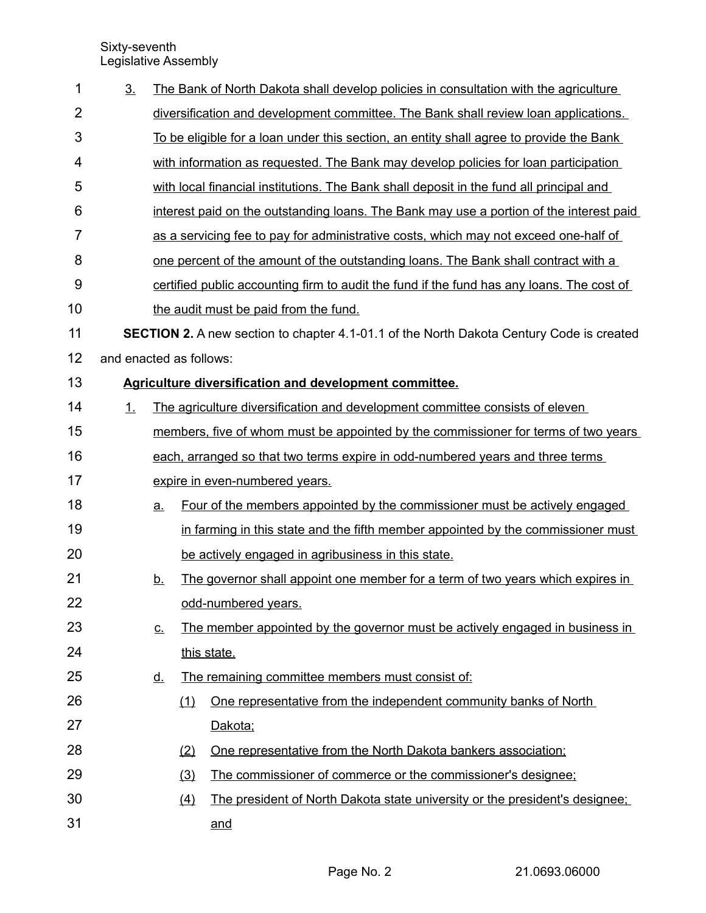Sixty-seventh Legislative Assembly

| 3 <sub>1</sub>                                                      |                                                                                                 |                                                                                      | The Bank of North Dakota shall develop policies in consultation with the agriculture      |  |  |  |
|---------------------------------------------------------------------|-------------------------------------------------------------------------------------------------|--------------------------------------------------------------------------------------|-------------------------------------------------------------------------------------------|--|--|--|
|                                                                     |                                                                                                 |                                                                                      | diversification and development committee. The Bank shall review loan applications.       |  |  |  |
|                                                                     |                                                                                                 |                                                                                      | To be eligible for a loan under this section, an entity shall agree to provide the Bank   |  |  |  |
|                                                                     |                                                                                                 |                                                                                      | with information as requested. The Bank may develop policies for loan participation       |  |  |  |
|                                                                     |                                                                                                 |                                                                                      | with local financial institutions. The Bank shall deposit in the fund all principal and   |  |  |  |
|                                                                     |                                                                                                 |                                                                                      | interest paid on the outstanding loans. The Bank may use a portion of the interest paid   |  |  |  |
|                                                                     |                                                                                                 | as a servicing fee to pay for administrative costs, which may not exceed one-half of |                                                                                           |  |  |  |
|                                                                     |                                                                                                 | one percent of the amount of the outstanding loans. The Bank shall contract with a   |                                                                                           |  |  |  |
|                                                                     |                                                                                                 |                                                                                      | certified public accounting firm to audit the fund if the fund has any loans. The cost of |  |  |  |
|                                                                     |                                                                                                 |                                                                                      | the audit must be paid from the fund.                                                     |  |  |  |
|                                                                     | <b>SECTION 2.</b> A new section to chapter 4.1-01.1 of the North Dakota Century Code is created |                                                                                      |                                                                                           |  |  |  |
|                                                                     |                                                                                                 |                                                                                      |                                                                                           |  |  |  |
| 13<br><b>Agriculture diversification and development committee.</b> |                                                                                                 |                                                                                      |                                                                                           |  |  |  |
| 1.                                                                  |                                                                                                 |                                                                                      | The agriculture diversification and development committee consists of eleven              |  |  |  |
|                                                                     |                                                                                                 |                                                                                      | members, five of whom must be appointed by the commissioner for terms of two years        |  |  |  |
|                                                                     |                                                                                                 | each, arranged so that two terms expire in odd-numbered years and three terms        |                                                                                           |  |  |  |
|                                                                     |                                                                                                 | expire in even-numbered years.                                                       |                                                                                           |  |  |  |
|                                                                     | a.                                                                                              |                                                                                      | Four of the members appointed by the commissioner must be actively engaged                |  |  |  |
|                                                                     |                                                                                                 |                                                                                      | in farming in this state and the fifth member appointed by the commissioner must          |  |  |  |
|                                                                     |                                                                                                 |                                                                                      | be actively engaged in agribusiness in this state.                                        |  |  |  |
|                                                                     | <u>b.</u>                                                                                       |                                                                                      | The governor shall appoint one member for a term of two years which expires in            |  |  |  |
|                                                                     |                                                                                                 |                                                                                      | odd-numbered years.                                                                       |  |  |  |
|                                                                     | $\underline{\mathsf{C}}$ .                                                                      |                                                                                      | The member appointed by the governor must be actively engaged in business in              |  |  |  |
|                                                                     |                                                                                                 |                                                                                      | this state.                                                                               |  |  |  |
|                                                                     | <u>d.</u>                                                                                       |                                                                                      | The remaining committee members must consist of:                                          |  |  |  |
|                                                                     |                                                                                                 | (1)                                                                                  | One representative from the independent community banks of North                          |  |  |  |
|                                                                     |                                                                                                 |                                                                                      | Dakota;                                                                                   |  |  |  |
|                                                                     |                                                                                                 | (2)                                                                                  | One representative from the North Dakota bankers association;                             |  |  |  |
|                                                                     |                                                                                                 | (3)                                                                                  | The commissioner of commerce or the commissioner's designee;                              |  |  |  |
|                                                                     |                                                                                                 | (4)                                                                                  | The president of North Dakota state university or the president's designee;               |  |  |  |
|                                                                     |                                                                                                 |                                                                                      | and                                                                                       |  |  |  |
|                                                                     |                                                                                                 |                                                                                      | and enacted as follows:                                                                   |  |  |  |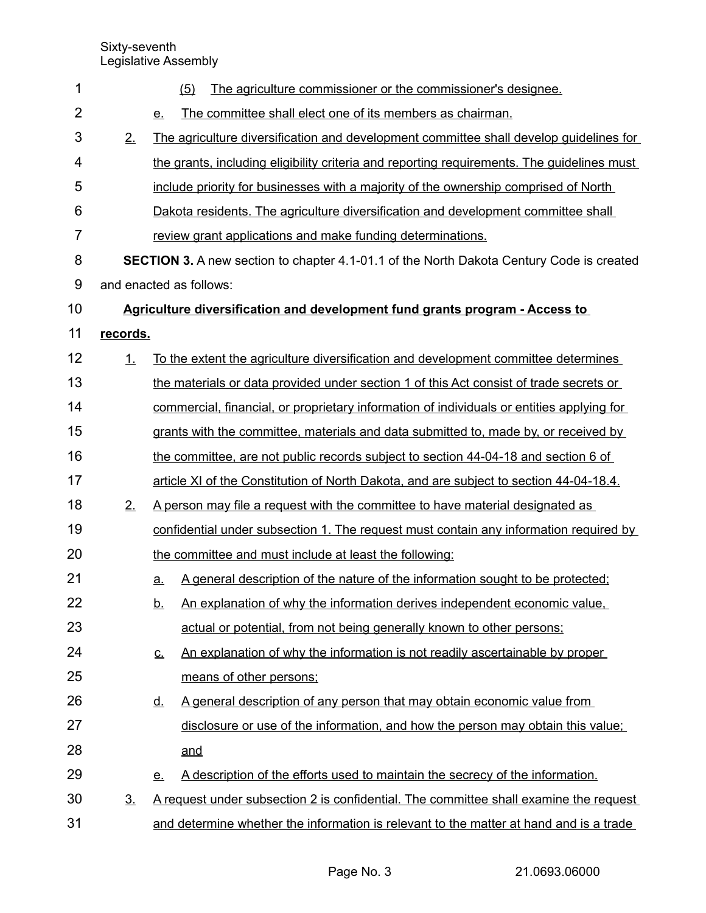| 1              |                | (5)<br>The agriculture commissioner or the commissioner's designee.                             |  |  |  |  |
|----------------|----------------|-------------------------------------------------------------------------------------------------|--|--|--|--|
| $\overline{2}$ |                | The committee shall elect one of its members as chairman.<br><u>e.</u>                          |  |  |  |  |
| 3              | 2.             | The agriculture diversification and development committee shall develop quidelines for          |  |  |  |  |
| 4              |                | the grants, including eligibility criteria and reporting requirements. The guidelines must      |  |  |  |  |
| 5              |                | include priority for businesses with a majority of the ownership comprised of North             |  |  |  |  |
| 6              |                | Dakota residents. The agriculture diversification and development committee shall               |  |  |  |  |
| 7              |                | review grant applications and make funding determinations.                                      |  |  |  |  |
| 8              |                | <b>SECTION 3.</b> A new section to chapter 4.1-01.1 of the North Dakota Century Code is created |  |  |  |  |
| $9$            |                | and enacted as follows:                                                                         |  |  |  |  |
| 10             |                | <u><b>Agriculture diversification and development fund grants program - Access to</b></u>       |  |  |  |  |
| 11             | records.       |                                                                                                 |  |  |  |  |
| 12             | 1.             | To the extent the agriculture diversification and development committee determines              |  |  |  |  |
| 13             |                | the materials or data provided under section 1 of this Act consist of trade secrets or          |  |  |  |  |
| 14             |                | commercial, financial, or proprietary information of individuals or entities applying for       |  |  |  |  |
| 15             |                | grants with the committee, materials and data submitted to, made by, or received by             |  |  |  |  |
| 16             |                | the committee, are not public records subject to section 44-04-18 and section 6 of              |  |  |  |  |
| 17             |                | article XI of the Constitution of North Dakota, and are subject to section 44-04-18.4.          |  |  |  |  |
| 18             | 2.             | A person may file a request with the committee to have material designated as                   |  |  |  |  |
| 19             |                | confidential under subsection 1. The request must contain any information required by           |  |  |  |  |
| 20             |                | the committee and must include at least the following:                                          |  |  |  |  |
| 21             |                | A general description of the nature of the information sought to be protected;<br><u>a.</u>     |  |  |  |  |
| 22             |                | An explanation of why the information derives independent economic value,<br><u>b.</u>          |  |  |  |  |
| 23             |                | actual or potential, from not being generally known to other persons;                           |  |  |  |  |
| 24             |                | An explanation of why the information is not readily ascertainable by proper<br><u>c.</u>       |  |  |  |  |
| 25             |                | means of other persons;                                                                         |  |  |  |  |
| 26             |                | A general description of any person that may obtain economic value from<br><u>d.</u>            |  |  |  |  |
| 27             |                | disclosure or use of the information, and how the person may obtain this value;                 |  |  |  |  |
| 28             |                | and                                                                                             |  |  |  |  |
| 29             |                | A description of the efforts used to maintain the secrecy of the information.<br><u>e.</u>      |  |  |  |  |
| 30             | 3 <sub>1</sub> | A request under subsection 2 is confidential. The committee shall examine the request           |  |  |  |  |
| 31             |                | and determine whether the information is relevant to the matter at hand and is a trade          |  |  |  |  |